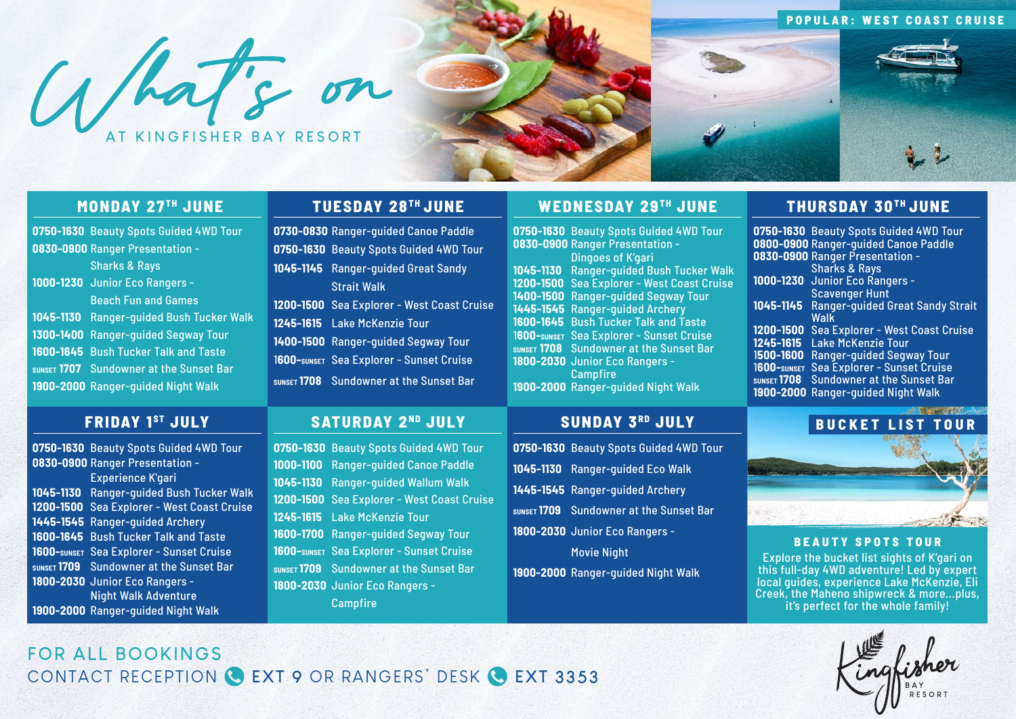### **POPULAR: WEST COAST CRUISE**

What's on





### **MONDAY 27TH JUNE**

**0750-1630** Beauty Spots Guided 4WD Tour **0830-0900** Ranger Presentation - Sharks & Rays **1000-1230** Junior Eco Rangers - Beach Fun and Games **1045-1130** Ranger-guided Bush Tucker Walk **1300-1400** Ranger-guided Segway Tour **1600-1645** Bush Tucker Talk and Taste **SUNSET 1707** Sundowner at the Sunset Bar **1900-2000** Ranger-guided Night Walk

### **TUESDAY 28 TH JUNE**

**0730-0830** Ranger-guided Canoe Paddle **0750-1630** Beauty Spots Guided 4WD Tour **1045-1145** Ranger-guided Great Sandy Strait Walk **1200-1500** Sea Explorer - West Coast Cruise **1245-1615** Lake McKenzie Tour **1400-1500** Ranger-guided Segway Tour 1**600-SUNSET** Sea Explorer - Sunset Cruise **SUNSET 1708** Sundowner at the Sunset Bar

### **WEDNESDAY 29TH JUNE**

**0750-1630** Beauty Spots Guided 4WD Tour **0830-0900** Ranger Presentation - Dingoes of K'gari **1045-1130** Ranger-guided Bush Tucker Walk **1200-1500** Sea Explorer - West Coast Cruise **1400-1500** Ranger-guided Segway Tour **1445-1545** Ranger-guided Archery **1600-1645** Bush Tucker Talk and Taste 1**600-SUNSET** Sea Explorer - Sunset Cruise **SUNSET 1708** Sundowner at the Sunset Bar **1800-2030** Junior Eco Rangers - Campfire **1900-2000** Ranger-guided Night Walk

# **THURSDAY 30 TH JUNE**

**0750-1630** Beauty Spots Guided 4WD Tour **0800-0900** Ranger-guided Canoe Paddle **0830-0900** Ranger Presentation - Sharks & Rays **1000-1230** Junior Eco Rangers - Scavenger Hunt **1045-1145** Ranger-guided Great Sandy Strait Walk **1200-1500** Sea Explorer - West Coast Cruise **1245-1615** Lake McKenzie Tour 1**500-1600** Ranger-guided Segway Tour 1**600-SUNSET** Sea Explorer - Sunset Cruise **SUNSET 1708** Sundowner at the Sunset Bar **1900-2000** Ranger-guided Night Walk

# **FRIDAY 1 ST JULY**

**0750-1630** Beauty Spots Guided 4WD Tour **0830-0900** Ranger Presentation - Experience K'gari **1045-1130** Ranger-guided Bush Tucker Walk **1200-1500** Sea Explorer - West Coast Cruise **1445-1545** Ranger-guided Archery **1600-1645** Bush Tucker Talk and Taste **1600-SUNSET** Sea Explorer - Sunset Cruise **SUNSET 1709** Sundowner at the Sunset Bar **1800-2030** Junior Eco Rangers - Night Walk Adventure **1900-2000** Ranger-guided Night Walk

## **SATURDAY 2 ND JULY**

**0750-1630** Beauty Spots Guided 4WD Tour **1000-1100** Ranger-guided Canoe Paddle **1045-1130** Ranger-guided Wallum Walk **1200-1500** Sea Explorer - West Coast Cruise

**1600-1700** Ranger-guided Segway Tour **1600-SUNSET** Sea Explorer - Sunset Cruise **SUNSET 1709** Sundowner at the Sunset Bar

**1245-1615** Lake McKenzie Tour

**1800-2030** Junior Eco Rangers - Campfire

## **SUNDAY 3RD JULY**

**0750-1630** Beauty Spots Guided 4WD Tour **1045-1130** Ranger-guided Eco Walk **1445-1545** Ranger-guided Archery **SUNSET 1709** Sundowner at the Sunset Bar **1800-2030** Junior Eco Rangers - Movie Night

**1900-2000** Ranger-guided Night Walk



### **BEAUTY SPOTS TOUR**

Explore the bucket list sights of K'gari on this full-day 4WD adventure! Led by expert local guides, experience Lake McKenzie, Eli Creek, the Maheno shipwreck & more...plus, it's perfect for the whole family!



# **FOR ALL BOOKINGS**  CONTACT RECEPTION **EXT 9** OR RANGERS' DESK **EXT 3353**